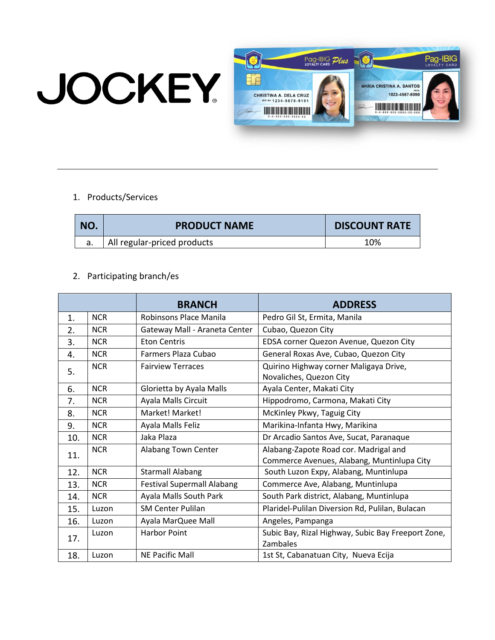## **JOCKEY**



## 1. Products/Services

| NO. | <b>PRODUCT NAME</b>         | <b>DISCOUNT RATE</b> |
|-----|-----------------------------|----------------------|
|     | All regular-priced products | 10%                  |

## 2. Participating branch/es

|     |            | <b>BRANCH</b>                     | <b>ADDRESS</b>                                                                      |
|-----|------------|-----------------------------------|-------------------------------------------------------------------------------------|
| 1.  | <b>NCR</b> | Robinsons Place Manila            | Pedro Gil St, Ermita, Manila                                                        |
| 2.  | <b>NCR</b> | Gateway Mall - Araneta Center     | Cubao, Quezon City                                                                  |
| 3.  | <b>NCR</b> | <b>Eton Centris</b>               | EDSA corner Quezon Avenue, Quezon City                                              |
| 4.  | <b>NCR</b> | Farmers Plaza Cubao               | General Roxas Ave, Cubao, Quezon City                                               |
| 5.  | <b>NCR</b> | <b>Fairview Terraces</b>          | Quirino Highway corner Maligaya Drive,<br>Novaliches, Quezon City                   |
| 6.  | <b>NCR</b> | Glorietta by Ayala Malls          | Ayala Center, Makati City                                                           |
| 7.  | <b>NCR</b> | Ayala Malls Circuit               | Hippodromo, Carmona, Makati City                                                    |
| 8.  | <b>NCR</b> | Market! Market!                   | McKinley Pkwy, Taguig City                                                          |
| 9.  | <b>NCR</b> | Ayala Malls Feliz                 | Marikina-Infanta Hwy, Marikina                                                      |
| 10. | <b>NCR</b> | Jaka Plaza                        | Dr Arcadio Santos Ave, Sucat, Paranaque                                             |
| 11. | <b>NCR</b> | Alabang Town Center               | Alabang-Zapote Road cor. Madrigal and<br>Commerce Avenues, Alabang, Muntinlupa City |
| 12. | <b>NCR</b> | <b>Starmall Alabang</b>           | South Luzon Expy, Alabang, Muntinlupa                                               |
| 13. | <b>NCR</b> | <b>Festival Supermall Alabang</b> | Commerce Ave, Alabang, Muntinlupa                                                   |
| 14. | <b>NCR</b> | Ayala Malls South Park            | South Park district, Alabang, Muntinlupa                                            |
| 15. | Luzon      | <b>SM Center Pulilan</b>          | Plaridel-Pulilan Diversion Rd, Pulilan, Bulacan                                     |
| 16. | Luzon      | Ayala MarQuee Mall                | Angeles, Pampanga                                                                   |
| 17. | Luzon      | <b>Harbor Point</b>               | Subic Bay, Rizal Highway, Subic Bay Freeport Zone,<br>Zambales                      |
| 18. | Luzon      | <b>NE Pacific Mall</b>            | 1st St, Cabanatuan City, Nueva Ecija                                                |